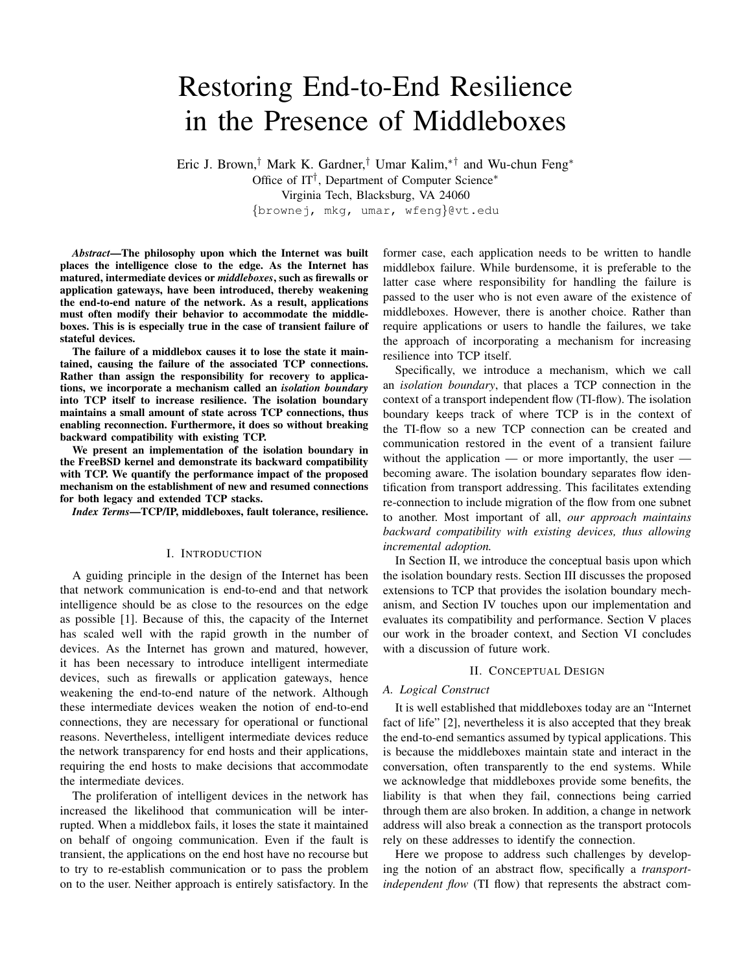# Restoring End-to-End Resilience in the Presence of Middleboxes

Eric J. Brown,† Mark K. Gardner,† Umar Kalim,∗† and Wu-chun Feng<sup>∗</sup> Office of IT<sup>†</sup>, Department of Computer Science<sup>∗</sup> Virginia Tech, Blacksburg, VA 24060 {brownej, mkg, umar, wfeng}@vt.edu

*Abstract*—The philosophy upon which the Internet was built places the intelligence close to the edge. As the Internet has matured, intermediate devices or *middleboxes*, such as firewalls or application gateways, have been introduced, thereby weakening the end-to-end nature of the network. As a result, applications must often modify their behavior to accommodate the middleboxes. This is is especially true in the case of transient failure of stateful devices.

The failure of a middlebox causes it to lose the state it maintained, causing the failure of the associated TCP connections. Rather than assign the responsibility for recovery to applications, we incorporate a mechanism called an *isolation boundary* into TCP itself to increase resilience. The isolation boundary maintains a small amount of state across TCP connections, thus enabling reconnection. Furthermore, it does so without breaking backward compatibility with existing TCP.

We present an implementation of the isolation boundary in the FreeBSD kernel and demonstrate its backward compatibility with TCP. We quantify the performance impact of the proposed mechanism on the establishment of new and resumed connections for both legacy and extended TCP stacks.

*Index Terms*—TCP/IP, middleboxes, fault tolerance, resilience.

#### I. INTRODUCTION

A guiding principle in the design of the Internet has been that network communication is end-to-end and that network intelligence should be as close to the resources on the edge as possible [1]. Because of this, the capacity of the Internet has scaled well with the rapid growth in the number of devices. As the Internet has grown and matured, however, it has been necessary to introduce intelligent intermediate devices, such as firewalls or application gateways, hence weakening the end-to-end nature of the network. Although these intermediate devices weaken the notion of end-to-end connections, they are necessary for operational or functional reasons. Nevertheless, intelligent intermediate devices reduce the network transparency for end hosts and their applications, requiring the end hosts to make decisions that accommodate the intermediate devices.

The proliferation of intelligent devices in the network has increased the likelihood that communication will be interrupted. When a middlebox fails, it loses the state it maintained on behalf of ongoing communication. Even if the fault is transient, the applications on the end host have no recourse but to try to re-establish communication or to pass the problem on to the user. Neither approach is entirely satisfactory. In the former case, each application needs to be written to handle middlebox failure. While burdensome, it is preferable to the latter case where responsibility for handling the failure is passed to the user who is not even aware of the existence of middleboxes. However, there is another choice. Rather than require applications or users to handle the failures, we take the approach of incorporating a mechanism for increasing resilience into TCP itself.

Specifically, we introduce a mechanism, which we call an *isolation boundary*, that places a TCP connection in the context of a transport independent flow (TI-flow). The isolation boundary keeps track of where TCP is in the context of the TI-flow so a new TCP connection can be created and communication restored in the event of a transient failure without the application  $-$  or more importantly, the user  $$ becoming aware. The isolation boundary separates flow identification from transport addressing. This facilitates extending re-connection to include migration of the flow from one subnet to another. Most important of all, *our approach maintains backward compatibility with existing devices, thus allowing incremental adoption.*

In Section II, we introduce the conceptual basis upon which the isolation boundary rests. Section III discusses the proposed extensions to TCP that provides the isolation boundary mechanism, and Section IV touches upon our implementation and evaluates its compatibility and performance. Section V places our work in the broader context, and Section VI concludes with a discussion of future work.

## II. CONCEPTUAL DESIGN

#### *A. Logical Construct*

It is well established that middleboxes today are an "Internet fact of life" [2], nevertheless it is also accepted that they break the end-to-end semantics assumed by typical applications. This is because the middleboxes maintain state and interact in the conversation, often transparently to the end systems. While we acknowledge that middleboxes provide some benefits, the liability is that when they fail, connections being carried through them are also broken. In addition, a change in network address will also break a connection as the transport protocols rely on these addresses to identify the connection.

Here we propose to address such challenges by developing the notion of an abstract flow, specifically a *transportindependent flow* (TI flow) that represents the abstract com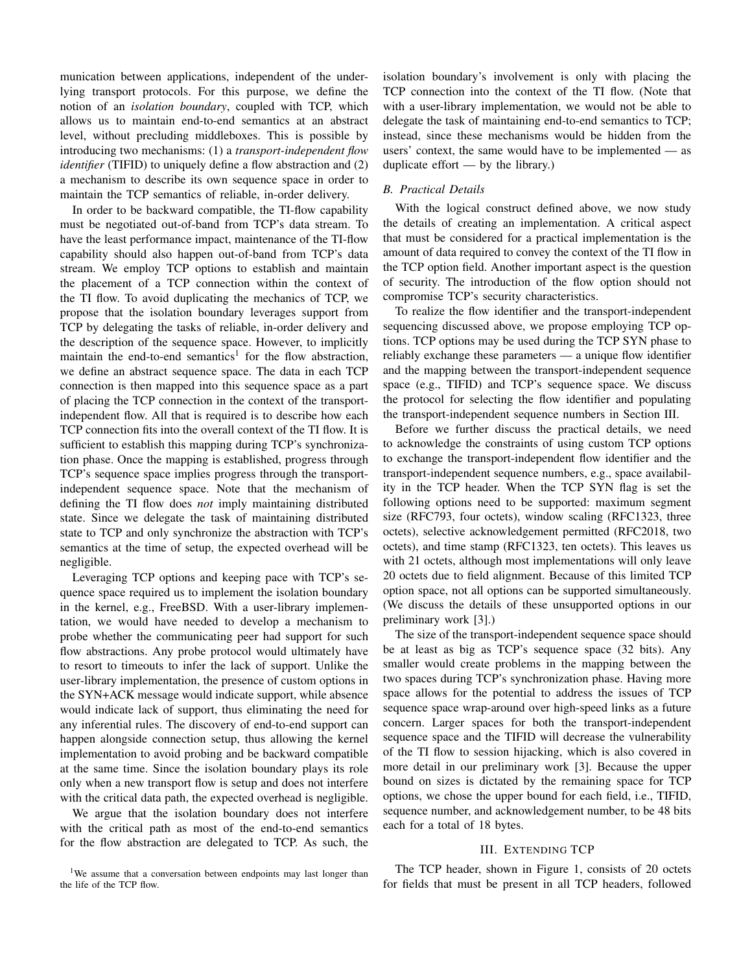munication between applications, independent of the underlying transport protocols. For this purpose, we define the notion of an *isolation boundary*, coupled with TCP, which allows us to maintain end-to-end semantics at an abstract level, without precluding middleboxes. This is possible by introducing two mechanisms: (1) a *transport-independent flow identifier* (TIFID) to uniquely define a flow abstraction and (2) a mechanism to describe its own sequence space in order to maintain the TCP semantics of reliable, in-order delivery.

In order to be backward compatible, the TI-flow capability must be negotiated out-of-band from TCP's data stream. To have the least performance impact, maintenance of the TI-flow capability should also happen out-of-band from TCP's data stream. We employ TCP options to establish and maintain the placement of a TCP connection within the context of the TI flow. To avoid duplicating the mechanics of TCP, we propose that the isolation boundary leverages support from TCP by delegating the tasks of reliable, in-order delivery and the description of the sequence space. However, to implicitly maintain the end-to-end semantics<sup>1</sup> for the flow abstraction, we define an abstract sequence space. The data in each TCP connection is then mapped into this sequence space as a part of placing the TCP connection in the context of the transportindependent flow. All that is required is to describe how each TCP connection fits into the overall context of the TI flow. It is sufficient to establish this mapping during TCP's synchronization phase. Once the mapping is established, progress through TCP's sequence space implies progress through the transportindependent sequence space. Note that the mechanism of defining the TI flow does *not* imply maintaining distributed state. Since we delegate the task of maintaining distributed state to TCP and only synchronize the abstraction with TCP's semantics at the time of setup, the expected overhead will be negligible.

Leveraging TCP options and keeping pace with TCP's sequence space required us to implement the isolation boundary in the kernel, e.g., FreeBSD. With a user-library implementation, we would have needed to develop a mechanism to probe whether the communicating peer had support for such flow abstractions. Any probe protocol would ultimately have to resort to timeouts to infer the lack of support. Unlike the user-library implementation, the presence of custom options in the SYN+ACK message would indicate support, while absence would indicate lack of support, thus eliminating the need for any inferential rules. The discovery of end-to-end support can happen alongside connection setup, thus allowing the kernel implementation to avoid probing and be backward compatible at the same time. Since the isolation boundary plays its role only when a new transport flow is setup and does not interfere with the critical data path, the expected overhead is negligible.

We argue that the isolation boundary does not interfere with the critical path as most of the end-to-end semantics for the flow abstraction are delegated to TCP. As such, the isolation boundary's involvement is only with placing the TCP connection into the context of the TI flow. (Note that with a user-library implementation, we would not be able to delegate the task of maintaining end-to-end semantics to TCP; instead, since these mechanisms would be hidden from the users' context, the same would have to be implemented — as duplicate effort  $-$  by the library.)

# *B. Practical Details*

With the logical construct defined above, we now study the details of creating an implementation. A critical aspect that must be considered for a practical implementation is the amount of data required to convey the context of the TI flow in the TCP option field. Another important aspect is the question of security. The introduction of the flow option should not compromise TCP's security characteristics.

To realize the flow identifier and the transport-independent sequencing discussed above, we propose employing TCP options. TCP options may be used during the TCP SYN phase to reliably exchange these parameters — a unique flow identifier and the mapping between the transport-independent sequence space (e.g., TIFID) and TCP's sequence space. We discuss the protocol for selecting the flow identifier and populating the transport-independent sequence numbers in Section III.

Before we further discuss the practical details, we need to acknowledge the constraints of using custom TCP options to exchange the transport-independent flow identifier and the transport-independent sequence numbers, e.g., space availability in the TCP header. When the TCP SYN flag is set the following options need to be supported: maximum segment size (RFC793, four octets), window scaling (RFC1323, three octets), selective acknowledgement permitted (RFC2018, two octets), and time stamp (RFC1323, ten octets). This leaves us with 21 octets, although most implementations will only leave 20 octets due to field alignment. Because of this limited TCP option space, not all options can be supported simultaneously. (We discuss the details of these unsupported options in our preliminary work [3].)

The size of the transport-independent sequence space should be at least as big as TCP's sequence space (32 bits). Any smaller would create problems in the mapping between the two spaces during TCP's synchronization phase. Having more space allows for the potential to address the issues of TCP sequence space wrap-around over high-speed links as a future concern. Larger spaces for both the transport-independent sequence space and the TIFID will decrease the vulnerability of the TI flow to session hijacking, which is also covered in more detail in our preliminary work [3]. Because the upper bound on sizes is dictated by the remaining space for TCP options, we chose the upper bound for each field, i.e., TIFID, sequence number, and acknowledgement number, to be 48 bits each for a total of 18 bytes.

#### III. EXTENDING TCP

The TCP header, shown in Figure 1, consists of 20 octets for fields that must be present in all TCP headers, followed

<sup>&</sup>lt;sup>1</sup>We assume that a conversation between endpoints may last longer than the life of the TCP flow.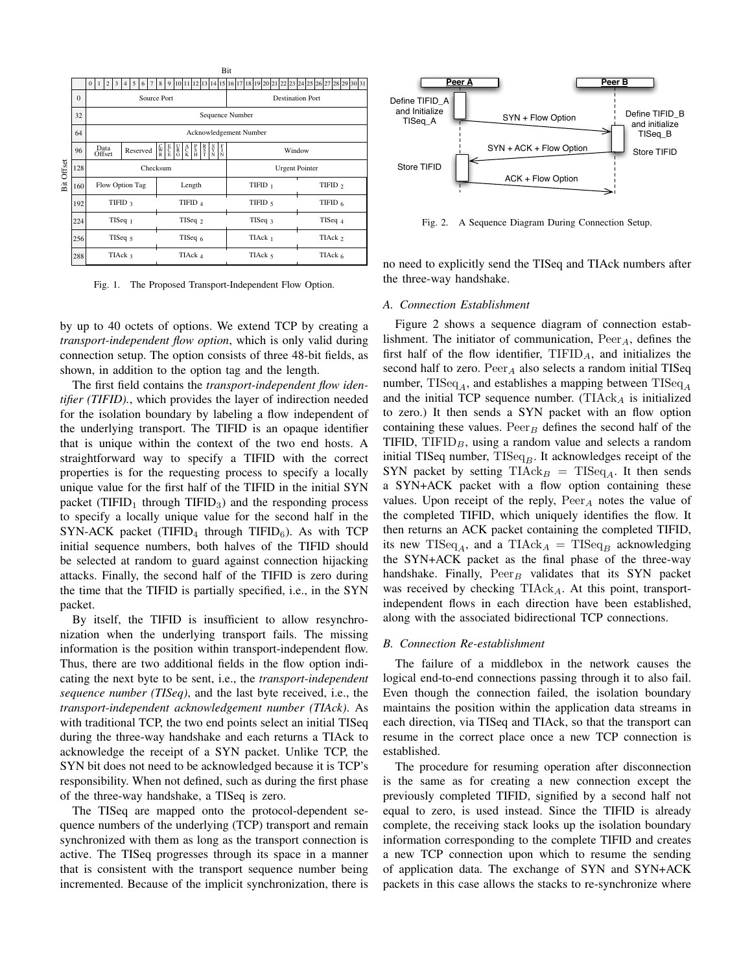|                   |                | Bit                        |                        |                |   |                |   |   |                                                                                                                                                               |   |  |  |  |  |                         |  |                    |                                |                                                                     |  |  |  |  |  |                    |  |  |  |  |  |  |  |  |  |
|-------------------|----------------|----------------------------|------------------------|----------------|---|----------------|---|---|---------------------------------------------------------------------------------------------------------------------------------------------------------------|---|--|--|--|--|-------------------------|--|--------------------|--------------------------------|---------------------------------------------------------------------|--|--|--|--|--|--------------------|--|--|--|--|--|--|--|--|--|
|                   |                | $\overline{0}$             | 1.                     | $\overline{c}$ | 3 | $\overline{4}$ | 5 | 6 | $\tau$                                                                                                                                                        | 8 |  |  |  |  |                         |  |                    |                                | 9 10 11 12 13 14 15 16 17 18 19 20 21 22 23 24 25 26 27 28 29 30 31 |  |  |  |  |  |                    |  |  |  |  |  |  |  |  |  |
|                   | $\overline{0}$ | Source Port                |                        |                |   |                |   |   |                                                                                                                                                               |   |  |  |  |  | <b>Destination Port</b> |  |                    |                                |                                                                     |  |  |  |  |  |                    |  |  |  |  |  |  |  |  |  |
|                   | 32             | Sequence Number            |                        |                |   |                |   |   |                                                                                                                                                               |   |  |  |  |  |                         |  |                    |                                |                                                                     |  |  |  |  |  |                    |  |  |  |  |  |  |  |  |  |
|                   | 64             |                            | Acknowledgement Number |                |   |                |   |   |                                                                                                                                                               |   |  |  |  |  |                         |  |                    |                                |                                                                     |  |  |  |  |  |                    |  |  |  |  |  |  |  |  |  |
|                   | 96             | Data<br>Reserved<br>Offset |                        |                |   |                |   |   | $\begin{array}{c c c c} A & P & R & S & F \\ C & S & S & Y & I \\ K & H & T & N & N \end{array}$<br>$_{\rm E}^{\rm E}$<br>$_{\rm R}^{\rm U}$<br>$\frac{C}{R}$ |   |  |  |  |  |                         |  |                    | Window                         |                                                                     |  |  |  |  |  |                    |  |  |  |  |  |  |  |  |  |
| <b>Bit Offset</b> | 128            | Checksum                   |                        |                |   |                |   |   |                                                                                                                                                               |   |  |  |  |  |                         |  |                    |                                | <b>Urgent Pointer</b>                                               |  |  |  |  |  |                    |  |  |  |  |  |  |  |  |  |
|                   | 160            | Flow Option Tag            |                        |                |   |                |   |   | Length                                                                                                                                                        |   |  |  |  |  |                         |  | TIFID $_1$         |                                |                                                                     |  |  |  |  |  | TIFID <sub>2</sub> |  |  |  |  |  |  |  |  |  |
|                   | 192            | TIFID 3                    |                        |                |   |                |   |   | TIFID <sub>4</sub>                                                                                                                                            |   |  |  |  |  |                         |  | TIFID 5            |                                |                                                                     |  |  |  |  |  | TIFID $6$          |  |  |  |  |  |  |  |  |  |
|                   | 224            | $TISeq_1$                  |                        |                |   |                |   |   | $TISeq_2$                                                                                                                                                     |   |  |  |  |  |                         |  | TISeq 3            |                                |                                                                     |  |  |  |  |  | TISeq 4            |  |  |  |  |  |  |  |  |  |
|                   | 256            | TISeq 5                    |                        |                |   |                |   |   | TISeq <sub>6</sub>                                                                                                                                            |   |  |  |  |  |                         |  | TIAck <sub>1</sub> |                                |                                                                     |  |  |  |  |  | TIAck $2$          |  |  |  |  |  |  |  |  |  |
|                   | 288            | TIAck 3                    |                        |                |   |                |   |   | TIAck 4                                                                                                                                                       |   |  |  |  |  |                         |  |                    | TIAck $\varsigma$<br>TIAck $6$ |                                                                     |  |  |  |  |  |                    |  |  |  |  |  |  |  |  |  |

Fig. 1. The Proposed Transport-Independent Flow Option.

by up to 40 octets of options. We extend TCP by creating a *transport-independent flow option*, which is only valid during connection setup. The option consists of three 48-bit fields, as shown, in addition to the option tag and the length.

The first field contains the *transport-independent flow identifier (TIFID).*, which provides the layer of indirection needed for the isolation boundary by labeling a flow independent of the underlying transport. The TIFID is an opaque identifier that is unique within the context of the two end hosts. A straightforward way to specify a TIFID with the correct properties is for the requesting process to specify a locally unique value for the first half of the TIFID in the initial SYN packet (TIFID<sub>1</sub> through TIFID<sub>3</sub>) and the responding process to specify a locally unique value for the second half in the SYN-ACK packet (TIFID<sub>4</sub> through TIFID<sub>6</sub>). As with TCP initial sequence numbers, both halves of the TIFID should be selected at random to guard against connection hijacking attacks. Finally, the second half of the TIFID is zero during the time that the TIFID is partially specified, i.e., in the SYN packet.

By itself, the TIFID is insufficient to allow resynchronization when the underlying transport fails. The missing information is the position within transport-independent flow. Thus, there are two additional fields in the flow option indicating the next byte to be sent, i.e., the *transport-independent sequence number (TISeq)*, and the last byte received, i.e., the *transport-independent acknowledgement number (TIAck)*. As with traditional TCP, the two end points select an initial TISeq during the three-way handshake and each returns a TIAck to acknowledge the receipt of a SYN packet. Unlike TCP, the SYN bit does not need to be acknowledged because it is TCP's responsibility. When not defined, such as during the first phase of the three-way handshake, a TISeq is zero.

The TISeq are mapped onto the protocol-dependent sequence numbers of the underlying (TCP) transport and remain synchronized with them as long as the transport connection is active. The TISeq progresses through its space in a manner that is consistent with the transport sequence number being incremented. Because of the implicit synchronization, there is



Fig. 2. A Sequence Diagram During Connection Setup.

no need to explicitly send the TISeq and TIAck numbers after the three-way handshake.

#### *A. Connection Establishment*

Figure 2 shows a sequence diagram of connection establishment. The initiator of communication,  $Peer_A$ , defines the first half of the flow identifier,  $TIFID<sub>A</sub>$ , and initializes the second half to zero.  $\text{Per}_A$  also selects a random initial TISeq number,  $TISeq<sub>A</sub>$ , and establishes a mapping between  $TISeq<sub>A</sub>$ and the initial TCP sequence number.  $(TIAck<sub>A</sub>)$  is initialized to zero.) It then sends a SYN packet with an flow option containing these values. Peer<sub>B</sub> defines the second half of the TIFID,  $TIFID<sub>B</sub>$ , using a random value and selects a random initial TISeq number,  $TISeq_B$ . It acknowledges receipt of the SYN packet by setting TIAck<sub>B</sub> = TISeq<sub>A</sub>. It then sends a SYN+ACK packet with a flow option containing these values. Upon receipt of the reply,  $\text{Per}_A$  notes the value of the completed TIFID, which uniquely identifies the flow. It then returns an ACK packet containing the completed TIFID, its new TISeq<sub>A</sub>, and a TIAck<sub>A</sub> = TISeq<sub>B</sub> acknowledging the SYN+ACK packet as the final phase of the three-way handshake. Finally,  $\rho_{\text{ee}_B}$  validates that its SYN packet was received by checking  $TIAck<sub>A</sub>$ . At this point, transportindependent flows in each direction have been established, along with the associated bidirectional TCP connections.

#### *B. Connection Re-establishment*

The failure of a middlebox in the network causes the logical end-to-end connections passing through it to also fail. Even though the connection failed, the isolation boundary maintains the position within the application data streams in each direction, via TISeq and TIAck, so that the transport can resume in the correct place once a new TCP connection is established.

The procedure for resuming operation after disconnection is the same as for creating a new connection except the previously completed TIFID, signified by a second half not equal to zero, is used instead. Since the TIFID is already complete, the receiving stack looks up the isolation boundary information corresponding to the complete TIFID and creates a new TCP connection upon which to resume the sending of application data. The exchange of SYN and SYN+ACK packets in this case allows the stacks to re-synchronize where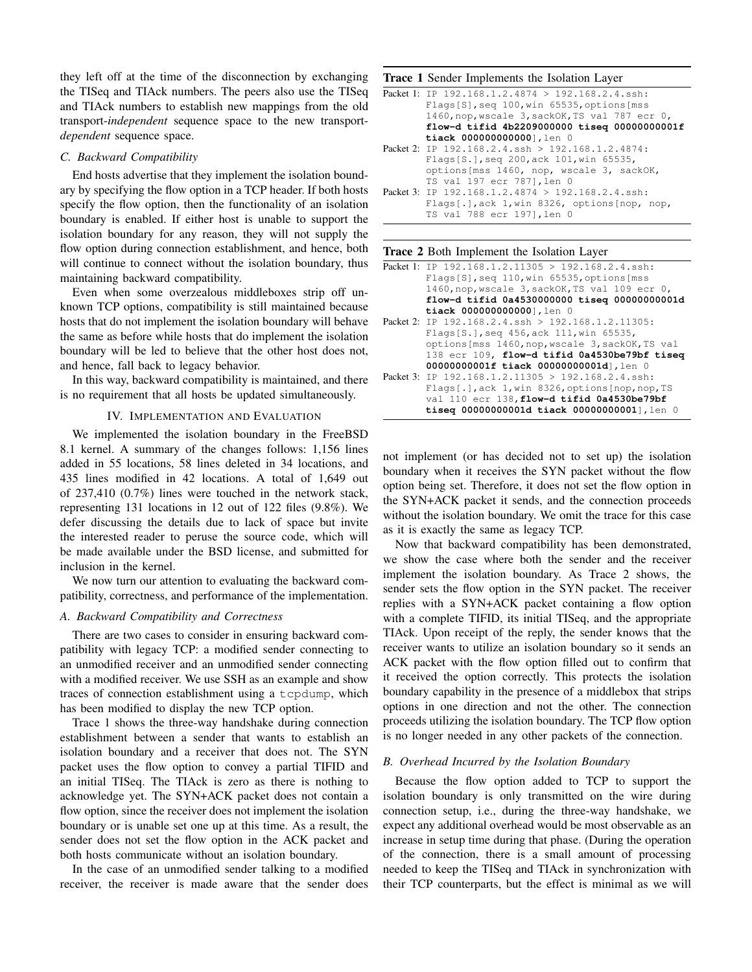they left off at the time of the disconnection by exchanging the TISeq and TIAck numbers. The peers also use the TISeq and TIAck numbers to establish new mappings from the old transport-*independent* sequence space to the new transport*dependent* sequence space.

#### *C. Backward Compatibility*

End hosts advertise that they implement the isolation boundary by specifying the flow option in a TCP header. If both hosts specify the flow option, then the functionality of an isolation boundary is enabled. If either host is unable to support the isolation boundary for any reason, they will not supply the flow option during connection establishment, and hence, both will continue to connect without the isolation boundary, thus maintaining backward compatibility.

Even when some overzealous middleboxes strip off unknown TCP options, compatibility is still maintained because hosts that do not implement the isolation boundary will behave the same as before while hosts that do implement the isolation boundary will be led to believe that the other host does not, and hence, fall back to legacy behavior.

In this way, backward compatibility is maintained, and there is no requirement that all hosts be updated simultaneously.

#### IV. IMPLEMENTATION AND EVALUATION

We implemented the isolation boundary in the FreeBSD 8.1 kernel. A summary of the changes follows: 1,156 lines added in 55 locations, 58 lines deleted in 34 locations, and 435 lines modified in 42 locations. A total of 1,649 out of 237,410 (0.7%) lines were touched in the network stack, representing 131 locations in 12 out of 122 files (9.8%). We defer discussing the details due to lack of space but invite the interested reader to peruse the source code, which will be made available under the BSD license, and submitted for inclusion in the kernel.

We now turn our attention to evaluating the backward compatibility, correctness, and performance of the implementation.

#### *A. Backward Compatibility and Correctness*

There are two cases to consider in ensuring backward compatibility with legacy TCP: a modified sender connecting to an unmodified receiver and an unmodified sender connecting with a modified receiver. We use SSH as an example and show traces of connection establishment using a tcpdump, which has been modified to display the new TCP option.

Trace 1 shows the three-way handshake during connection establishment between a sender that wants to establish an isolation boundary and a receiver that does not. The SYN packet uses the flow option to convey a partial TIFID and an initial TISeq. The TIAck is zero as there is nothing to acknowledge yet. The SYN+ACK packet does not contain a flow option, since the receiver does not implement the isolation boundary or is unable set one up at this time. As a result, the sender does not set the flow option in the ACK packet and both hosts communicate without an isolation boundary.

In the case of an unmodified sender talking to a modified receiver, the receiver is made aware that the sender does Trace 1 Sender Implements the Isolation Layer

| Packet 1: IP 192.168.1.2.4874 > 192.168.2.4.ssh:       |
|--------------------------------------------------------|
| Flags [S], seg 100, win 65535, options [mss            |
| 1460, nop, wscale 3, sackOK, TS val 787 ecr 0,         |
| flow-d tifid 4b2209000000 tiseq 00000000001f           |
| tiack 0000000000001, len 0                             |
| Packet 2: IP $192.168.2.4$ .ssh > $192.168.1.2.4874$ : |
| Flags[S.], seg 200, ack 101, win 65535,                |
| options[mss 1460, nop, wscale 3, sackOK,               |
| TS val 197 ecr 787], len 0                             |
| Packet 3: IP $192.168.1.2.4874 > 192.168.2.4.$ ssh:    |
| Flags[.], ack 1, win 8326, options [nop, nop,          |
| TS val 788 ecr 1971, len 0                             |
|                                                        |

| <b>Trace 2</b> Both Implement the Isolation Layer       |
|---------------------------------------------------------|
| Packet 1: IP $192.168.1.2.11305 > 192.168.2.4$ .ssh:    |
| Flags [S], seg 110, win 65535, options [mss             |
| 1460, nop, wscale 3, sackOK, TS val 109 ecr 0,          |
| flow-d tifid 0a4530000000 tiseg 00000000001d            |
| tiack 0000000000001, len 0                              |
| Packet 2: IP $192.168.2.4$ .ssh > $192.168.1.2.11305$ : |
| Flags[S.], seg 456, ack 111, win 65535,                 |
| options [mss 1460, nop, wscale 3, sackOK, TS val        |
| 138 ecr 109, flow-d tifid 0a4530be79bf tiseg            |
| 00000000001f tiack 00000000001d], len 0                 |
| Packet 3: IP $192.168.1.2.11305 > 192.168.2.4.$ ssh:    |
| Flags[.], ack 1, win 8326, options [nop, nop, TS        |
| val 110 ecr 138, flow-d tifid 0a4530be79bf              |
| tiseg 00000000001d tiack 00000000001], len 0            |

not implement (or has decided not to set up) the isolation boundary when it receives the SYN packet without the flow option being set. Therefore, it does not set the flow option in the SYN+ACK packet it sends, and the connection proceeds without the isolation boundary. We omit the trace for this case as it is exactly the same as legacy TCP.

Now that backward compatibility has been demonstrated, we show the case where both the sender and the receiver implement the isolation boundary. As Trace 2 shows, the sender sets the flow option in the SYN packet. The receiver replies with a SYN+ACK packet containing a flow option with a complete TIFID, its initial TISeq, and the appropriate TIAck. Upon receipt of the reply, the sender knows that the receiver wants to utilize an isolation boundary so it sends an ACK packet with the flow option filled out to confirm that it received the option correctly. This protects the isolation boundary capability in the presence of a middlebox that strips options in one direction and not the other. The connection proceeds utilizing the isolation boundary. The TCP flow option is no longer needed in any other packets of the connection.

## *B. Overhead Incurred by the Isolation Boundary*

Because the flow option added to TCP to support the isolation boundary is only transmitted on the wire during connection setup, i.e., during the three-way handshake, we expect any additional overhead would be most observable as an increase in setup time during that phase. (During the operation of the connection, there is a small amount of processing needed to keep the TISeq and TIAck in synchronization with their TCP counterparts, but the effect is minimal as we will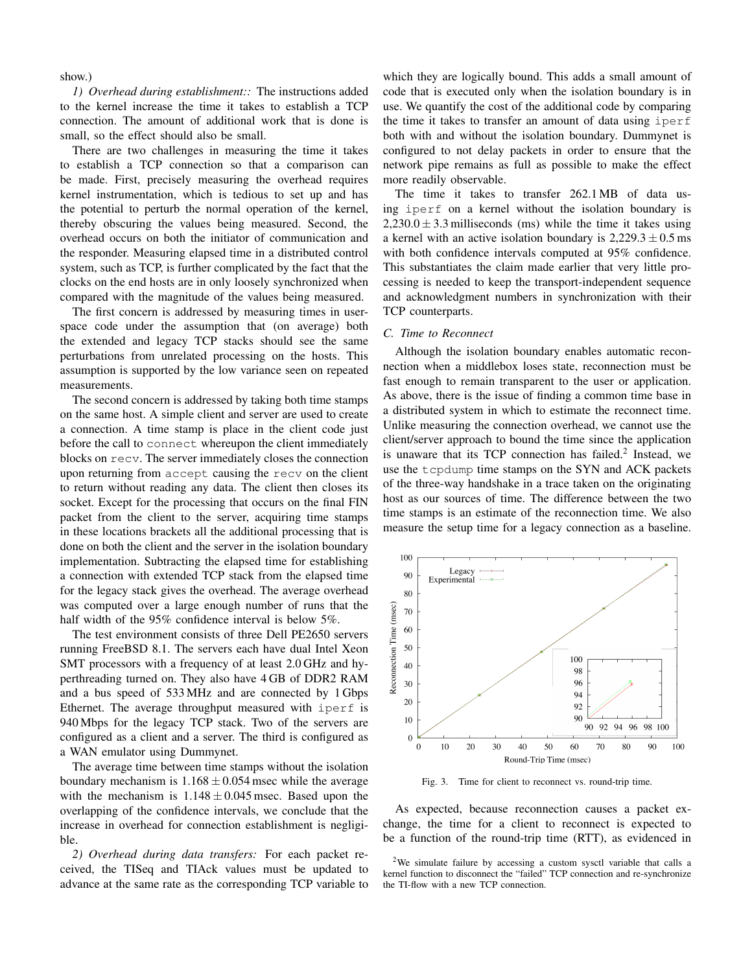show.)

*1) Overhead during establishment::* The instructions added to the kernel increase the time it takes to establish a TCP connection. The amount of additional work that is done is small, so the effect should also be small.

There are two challenges in measuring the time it takes to establish a TCP connection so that a comparison can be made. First, precisely measuring the overhead requires kernel instrumentation, which is tedious to set up and has the potential to perturb the normal operation of the kernel, thereby obscuring the values being measured. Second, the overhead occurs on both the initiator of communication and the responder. Measuring elapsed time in a distributed control system, such as TCP, is further complicated by the fact that the clocks on the end hosts are in only loosely synchronized when compared with the magnitude of the values being measured.

The first concern is addressed by measuring times in userspace code under the assumption that (on average) both the extended and legacy TCP stacks should see the same perturbations from unrelated processing on the hosts. This assumption is supported by the low variance seen on repeated measurements.

The second concern is addressed by taking both time stamps on the same host. A simple client and server are used to create a connection. A time stamp is place in the client code just before the call to connect whereupon the client immediately blocks on recv. The server immediately closes the connection upon returning from accept causing the recv on the client to return without reading any data. The client then closes its socket. Except for the processing that occurs on the final FIN packet from the client to the server, acquiring time stamps in these locations brackets all the additional processing that is done on both the client and the server in the isolation boundary implementation. Subtracting the elapsed time for establishing a connection with extended TCP stack from the elapsed time for the legacy stack gives the overhead. The average overhead was computed over a large enough number of runs that the half width of the 95% confidence interval is below 5%.

The test environment consists of three Dell PE2650 servers running FreeBSD 8.1. The servers each have dual Intel Xeon SMT processors with a frequency of at least 2.0 GHz and hyperthreading turned on. They also have 4 GB of DDR2 RAM and a bus speed of 533 MHz and are connected by 1 Gbps Ethernet. The average throughput measured with iperf is 940 Mbps for the legacy TCP stack. Two of the servers are configured as a client and a server. The third is configured as a WAN emulator using Dummynet.

The average time between time stamps without the isolation boundary mechanism is  $1.168 \pm 0.054$  msec while the average with the mechanism is  $1.148 \pm 0.045$  msec. Based upon the overlapping of the confidence intervals, we conclude that the increase in overhead for connection establishment is negligible.

*2) Overhead during data transfers:* For each packet received, the TISeq and TIAck values must be updated to advance at the same rate as the corresponding TCP variable to

which they are logically bound. This adds a small amount of code that is executed only when the isolation boundary is in use. We quantify the cost of the additional code by comparing the time it takes to transfer an amount of data using iperf both with and without the isolation boundary. Dummynet is configured to not delay packets in order to ensure that the network pipe remains as full as possible to make the effect more readily observable.

The time it takes to transfer 262.1 MB of data using iperf on a kernel without the isolation boundary is  $2,230.0 \pm 3.3$  milliseconds (ms) while the time it takes using a kernel with an active isolation boundary is  $2,229.3 \pm 0.5$  ms with both confidence intervals computed at 95% confidence. This substantiates the claim made earlier that very little processing is needed to keep the transport-independent sequence and acknowledgment numbers in synchronization with their TCP counterparts.

# *C. Time to Reconnect*

Although the isolation boundary enables automatic reconnection when a middlebox loses state, reconnection must be fast enough to remain transparent to the user or application. As above, there is the issue of finding a common time base in a distributed system in which to estimate the reconnect time. Unlike measuring the connection overhead, we cannot use the client/server approach to bound the time since the application is unaware that its TCP connection has failed.<sup>2</sup> Instead, we use the tcpdump time stamps on the SYN and ACK packets of the three-way handshake in a trace taken on the originating host as our sources of time. The difference between the two time stamps is an estimate of the reconnection time. We also measure the setup time for a legacy connection as a baseline.



Fig. 3. Time for client to reconnect vs. round-trip time.

As expected, because reconnection causes a packet exchange, the time for a client to reconnect is expected to be a function of the round-trip time (RTT), as evidenced in

<sup>&</sup>lt;sup>2</sup>We simulate failure by accessing a custom sysctl variable that calls a kernel function to disconnect the "failed" TCP connection and re-synchronize the TI-flow with a new TCP connection.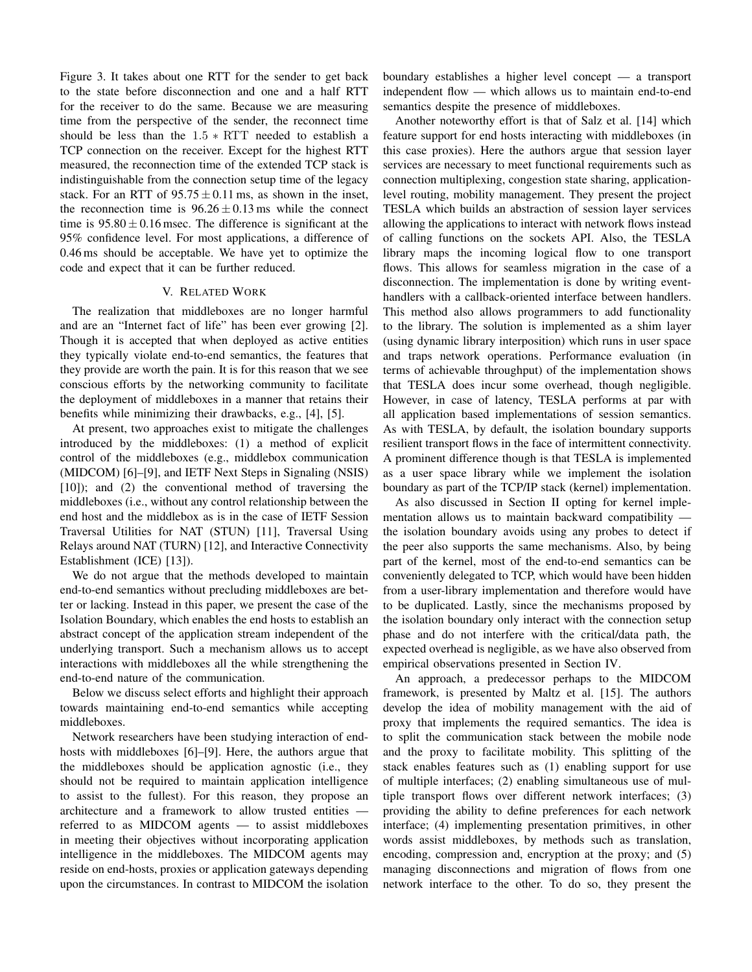Figure 3. It takes about one RTT for the sender to get back to the state before disconnection and one and a half RTT for the receiver to do the same. Because we are measuring time from the perspective of the sender, the reconnect time should be less than the  $1.5 \times RTT$  needed to establish a TCP connection on the receiver. Except for the highest RTT measured, the reconnection time of the extended TCP stack is indistinguishable from the connection setup time of the legacy stack. For an RTT of  $95.75 \pm 0.11$  ms, as shown in the inset, the reconnection time is  $96.26 \pm 0.13$  ms while the connect time is  $95.80 \pm 0.16$  msec. The difference is significant at the 95% confidence level. For most applications, a difference of 0.46 ms should be acceptable. We have yet to optimize the code and expect that it can be further reduced.

## V. RELATED WORK

The realization that middleboxes are no longer harmful and are an "Internet fact of life" has been ever growing [2]. Though it is accepted that when deployed as active entities they typically violate end-to-end semantics, the features that they provide are worth the pain. It is for this reason that we see conscious efforts by the networking community to facilitate the deployment of middleboxes in a manner that retains their benefits while minimizing their drawbacks, e.g., [4], [5].

At present, two approaches exist to mitigate the challenges introduced by the middleboxes: (1) a method of explicit control of the middleboxes (e.g., middlebox communication (MIDCOM) [6]–[9], and IETF Next Steps in Signaling (NSIS) [10]); and (2) the conventional method of traversing the middleboxes (i.e., without any control relationship between the end host and the middlebox as is in the case of IETF Session Traversal Utilities for NAT (STUN) [11], Traversal Using Relays around NAT (TURN) [12], and Interactive Connectivity Establishment (ICE) [13]).

We do not argue that the methods developed to maintain end-to-end semantics without precluding middleboxes are better or lacking. Instead in this paper, we present the case of the Isolation Boundary, which enables the end hosts to establish an abstract concept of the application stream independent of the underlying transport. Such a mechanism allows us to accept interactions with middleboxes all the while strengthening the end-to-end nature of the communication.

Below we discuss select efforts and highlight their approach towards maintaining end-to-end semantics while accepting middleboxes.

Network researchers have been studying interaction of endhosts with middleboxes [6]–[9]. Here, the authors argue that the middleboxes should be application agnostic (i.e., they should not be required to maintain application intelligence to assist to the fullest). For this reason, they propose an architecture and a framework to allow trusted entities referred to as MIDCOM agents — to assist middleboxes in meeting their objectives without incorporating application intelligence in the middleboxes. The MIDCOM agents may reside on end-hosts, proxies or application gateways depending upon the circumstances. In contrast to MIDCOM the isolation boundary establishes a higher level concept — a transport independent flow — which allows us to maintain end-to-end semantics despite the presence of middleboxes.

Another noteworthy effort is that of Salz et al. [14] which feature support for end hosts interacting with middleboxes (in this case proxies). Here the authors argue that session layer services are necessary to meet functional requirements such as connection multiplexing, congestion state sharing, applicationlevel routing, mobility management. They present the project TESLA which builds an abstraction of session layer services allowing the applications to interact with network flows instead of calling functions on the sockets API. Also, the TESLA library maps the incoming logical flow to one transport flows. This allows for seamless migration in the case of a disconnection. The implementation is done by writing eventhandlers with a callback-oriented interface between handlers. This method also allows programmers to add functionality to the library. The solution is implemented as a shim layer (using dynamic library interposition) which runs in user space and traps network operations. Performance evaluation (in terms of achievable throughput) of the implementation shows that TESLA does incur some overhead, though negligible. However, in case of latency, TESLA performs at par with all application based implementations of session semantics. As with TESLA, by default, the isolation boundary supports resilient transport flows in the face of intermittent connectivity. A prominent difference though is that TESLA is implemented as a user space library while we implement the isolation boundary as part of the TCP/IP stack (kernel) implementation.

As also discussed in Section II opting for kernel implementation allows us to maintain backward compatibility the isolation boundary avoids using any probes to detect if the peer also supports the same mechanisms. Also, by being part of the kernel, most of the end-to-end semantics can be conveniently delegated to TCP, which would have been hidden from a user-library implementation and therefore would have to be duplicated. Lastly, since the mechanisms proposed by the isolation boundary only interact with the connection setup phase and do not interfere with the critical/data path, the expected overhead is negligible, as we have also observed from empirical observations presented in Section IV.

An approach, a predecessor perhaps to the MIDCOM framework, is presented by Maltz et al. [15]. The authors develop the idea of mobility management with the aid of proxy that implements the required semantics. The idea is to split the communication stack between the mobile node and the proxy to facilitate mobility. This splitting of the stack enables features such as (1) enabling support for use of multiple interfaces; (2) enabling simultaneous use of multiple transport flows over different network interfaces; (3) providing the ability to define preferences for each network interface; (4) implementing presentation primitives, in other words assist middleboxes, by methods such as translation, encoding, compression and, encryption at the proxy; and (5) managing disconnections and migration of flows from one network interface to the other. To do so, they present the